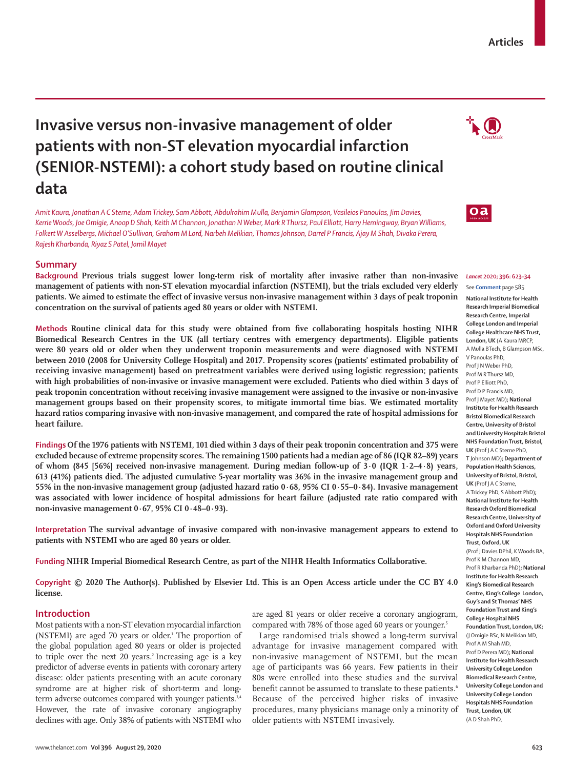# **Invasive versus non-invasive management of older patients with non-ST elevation myocardial infarction (SENIOR-NSTEMI): a cohort study based on routine clinical data**

*Amit Kaura, Jonathan A C Sterne, Adam Trickey, Sam Abbott, Abdulrahim Mulla, Benjamin Glampson, Vasileios Panoulas, Jim Davies, Kerrie Woods, Joe Omigie, Anoop D Shah, Keith M Channon, Jonathan N Weber, Mark R Thursz, Paul Elliott, Harry Hemingway, Bryan Williams, Folkert W Asselbergs, Michael O'Sullivan, Graham M Lord, Narbeh Melikian, Thomas Johnson, Darrel P Francis, Ajay M Shah, Divaka Perera, Rajesh Kharbanda, Riyaz S Patel, Jamil Mayet*

# **Summary**

**Background Previous trials suggest lower long-term risk of mortality after invasive rather than non-invasive management of patients with non-ST elevation myocardial infarction (NSTEMI), but the trials excluded very elderly patients. We aimed to estimate the effect of invasive versus non-invasive management within 3 days of peak troponin concentration on the survival of patients aged 80 years or older with NSTEMI.**

**Methods Routine clinical data for this study were obtained from five collaborating hospitals hosting NIHR Biomedical Research Centres in the UK (all tertiary centres with emergency departments). Eligible patients were 80 years old or older when they underwent troponin measurements and were diagnosed with NSTEMI between 2010 (2008 for University College Hospital) and 2017. Propensity scores (patients' estimated probability of receiving invasive management) based on pretreatment variables were derived using logistic regression; patients with high probabilities of non-invasive or invasive management were excluded. Patients who died within 3 days of peak troponin concentration without receiving invasive management were assigned to the invasive or non-invasive management groups based on their propensity scores, to mitigate immortal time bias. We estimated mortality hazard ratios comparing invasive with non-invasive management, and compared the rate of hospital admissions for heart failure.**

**Findings Of the 1976 patients with NSTEMI, 101 died within 3 days of their peak troponin concentration and 375 were excluded because of extreme propensity scores. The remaining 1500 patients had a median age of 86 (IQR 82–89) years of whom (845 [56%] received non-invasive management. During median follow-up of 3·0 (IQR 1·2–4·8) years, 613 (41%) patients died. The adjusted cumulative 5-year mortality was 36% in the invasive management group and 55% in the non-invasive management group (adjusted hazard ratio 0·68, 95% CI 0·55–0·84). Invasive management was associated with lower incidence of hospital admissions for heart failure (adjusted rate ratio compared with non-invasive management 0·67, 95% CI 0·48–0·93).**

**Interpretation The survival advantage of invasive compared with non-invasive management appears to extend to patients with NSTEMI who are aged 80 years or older.**

**Funding NIHR Imperial Biomedical Research Centre, as part of the NIHR Health Informatics Collaborative.**

**Copyright © 2020 The Author(s). Published by Elsevier Ltd. This is an Open Access article under the CC BY 4.0 license.**

### **Introduction**

Most patients with a non-ST elevation myocardial infarction (NSTEMI) are aged 70 years or older.<sup>1</sup> The proportion of the global population aged 80 years or older is projected to triple over the next 20 years.<sup>2</sup> Increasing age is a key predictor of adverse events in patients with coronary artery disease: older patients presenting with an acute coronary syndrome are at higher risk of short-term and longterm adverse outcomes compared with younger patients.<sup>3,4</sup> However, the rate of invasive coronary angiography declines with age. Only 38% of patients with NSTEMI who

are aged 81 years or older receive a coronary angiogram, compared with 78% of those aged 60 years or younger.<sup>5</sup>

Large randomised trials showed a long-term survival advantage for invasive management compared with non-invasive management of NSTEMI, but the mean age of participants was 66 years. Few patients in their 80s were enrolled into these studies and the survival benefit cannot be assumed to translate to these patients.<sup>6</sup> Because of the perceived higher risks of invasive procedures, many physicians manage only a minority of older patients with NSTEMI invasively.

### *Lancet* **2020; 396: 623–34** See **Comment** page 585 **National Institute for Health**

**Research Imperial Biomedical Research Centre, Imperial College London and Imperial College Healthcare NHS Trust, London, UK** (A Kaura MRCP, A Mulla BTech, B Glampson MSc, V Panoulas PhD, Prof I N Weber PhD. Prof M R Thursz MD, Prof P Elliott PhD, Prof D P Francis MD, Prof J Mayet MD)**; National Institute for Health Research Bristol Biomedical Research Centre, University of Bristol and University Hospitals Bristol NHS Foundation Trust, Bristol, UK** (Prof J A C Sterne PhD, T Johnson MD)**; Department of Population Health Sciences, University of Bristol, Bristol, UK** (Prof J A C Sterne, A Trickey PhD, S Abbott PhD)**; National Institute for Health Research Oxford Biomedical Research Centre, University of Oxford and Oxford University Hospitals NHS Foundation Trust, Oxford, UK**  (Prof J Davies DPhil, K Woods BA, Prof K M Channon MD, Prof R Kharbanda PhD)**; National Institute for Health Research King's Biomedical Research Centre, King's College London, Guy's and St Thomas' NHS Foundation Trust and King's College Hospital NHS Foundation Trust, London, UK;**  (J Omigie BSc, N Melikian MD, Prof A M Shah MD, Prof D Perera MD)**; National Institute for Health Research University College London Biomedical Research Centre, University College London and University College London Hospitals NHS Foundation Trust, London, UK**  (A D Shah PhD,



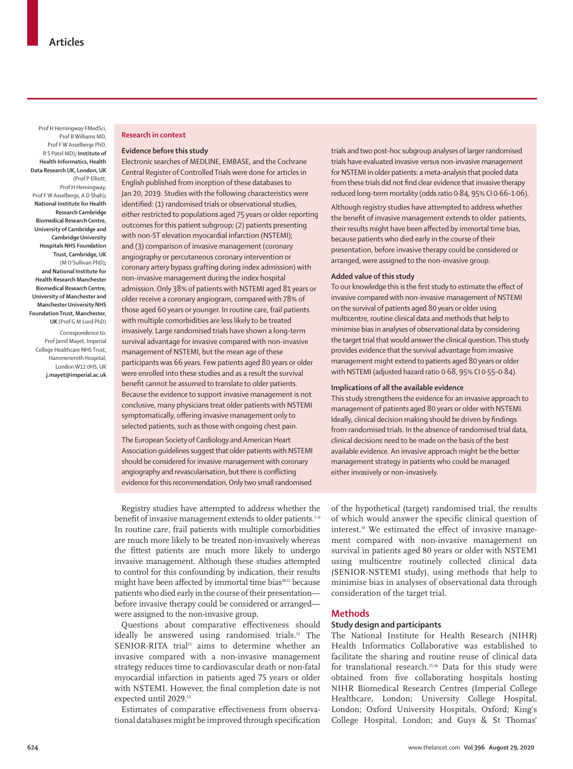Prof H Hemingway FMedSci, Prof B Williams MD, Prof F W Asselbergs PhD, R S Patel MD)**; Institute of Health Informatics, Health Data Research UK, London, UK**  (Prof P Elliott, Prof H Hemingway, Prof F W Asselbergs, A D Shah)**; National Institute for Health Research Cambridge Biomedical Research Centre, University of Cambridge and Cambridge University Hospitals NHS Foundation Trust, Cambridge, UK**  (M O'Sullivan PhD)**; and National Institute for Health Research Manchester Biomedical Research Centre, University of Manchester and Manchester University NHS Foundation Trust, Manchester, UK** (Prof G M Lord PhD)

Correspondence to: Prof Jamil Mayet, Imperial College Healthcare NHS Trust, Hammersmith Hospital, London W12 0HS, UK **j.mayet@imperial.ac.uk**

#### **Research in context**

#### **Evidence before this study**

Electronic searches of MEDLINE, EMBASE, and the Cochrane Central Register of Controlled Trials were done for articles in English published from inception of these databases to Jan 20, 2019. Studies with the following characteristics were identified: (1) randomised trials or observational studies, either restricted to populations aged 75 years or older reporting outcomes for this patient subgroup; (2) patients presenting with non-ST elevation myocardial infarction (NSTEMI); and (3) comparison of invasive management (coronary angiography or percutaneous coronary intervention or coronary artery bypass grafting during index admission) with non-invasive management during the index hospital admission. Only 38% of patients with NSTEMI aged 81 years or older receive a coronary angiogram, compared with 78% of those aged 60 years or younger. In routine care, frail patients with multiple comorbidities are less likely to be treated invasively. Large randomised trials have shown a long-term survival advantage for invasive compared with non-invasive management of NSTEMI, but the mean age of these participants was 66 years. Few patients aged 80 years or older were enrolled into these studies and as a result the survival benefit cannot be assumed to translate to older patients. Because the evidence to support invasive management is not conclusive, many physicians treat older patients with NSTEMI symptomatically, offering invasive management only to selected patients, such as those with ongoing chest pain.

The European Society of Cardiology and American Heart Association guidelines suggest that older patients with NSTEMI should be considered for invasive management with coronary angiography and revascularisation, but there is conflicting evidence for this recommendation. Only two small randomised

Registry studies have attempted to address whether the benefit of invasive management extends to older patients.<sup>7-9</sup> In routine care, frail patients with multiple comorbidities are much more likely to be treated non-invasively whereas the fittest patients are much more likely to undergo invasive management. Although these studies attempted to control for this confounding by indication, their results might have been affected by immortal time bias<sup>10,11</sup> because patients who died early in the course of their presentation before invasive therapy could be considered or arranged were assigned to the non-invasive group.

Questions about comparative effectiveness should ideally be answered using randomised trials.<sup>12</sup> The SENIOR-RITA trial<sup>13</sup> aims to determine whether an invasive compared with a non-invasive management strategy reduces time to cardiovascular death or non-fatal myocardial infarction in patients aged 75 years or older with NSTEMI. However, the final completion date is not expected until 2029.13

Estimates of comparative effectiveness from observational databases might be improved through specification

trials and two post-hoc subgroup analyses of larger randomised trials have evaluated invasive versus non-invasive management for NSTEMI in older patients: a meta-analysis that pooled data from these trials did not find clear evidence that invasive therapy reduced long-term mortality (odds ratio 0·84, 95% CI 0·66–1·06).

Although registry studies have attempted to address whether the benefit of invasive management extends to older patients, their results might have been affected by immortal time bias, because patients who died early in the course of their presentation, before invasive therapy could be considered or arranged, were assigned to the non-invasive group.

### **Added value of this study**

To our knowledge this is the first study to estimate the effect of invasive compared with non-invasive management of NSTEMI on the survival of patients aged 80 years or older using multicentre, routine clinical data and methods that help to minimise bias in analyses of observational data by considering the target trial that would answer the clinical question. This study provides evidence that the survival advantage from invasive management might extend to patients aged 80 years or older with NSTEMI (adjusted hazard ratio 0·68, 95% CI 0·55–0·84).

#### **Implications of all the available evidence**

This study strengthens the evidence for an invasive approach to management of patients aged 80 years or older with NSTEMI. Ideally, clinical decision making should be driven by findings from randomised trials. In the absence of randomised trial data, clinical decisions need to be made on the basis of the best available evidence. An invasive approach might be the better management strategy in patients who could be managed either invasively or non-invasively.

of the hypothetical (target) randomised trial, the results of which would answer the specific clinical question of interest.14 We estimated the effect of invasive management compared with non-invasive management on survival in patients aged 80 years or older with NSTEMI using multicentre routinely collected clinical data (SENIOR-NSTEMI study), using methods that help to minimise bias in analyses of observational data through consideration of the target trial.

# **Methods**

## **Study design and participants**

The National Institute for Health Research (NIHR) Health Informatics Collaborative was established to facilitate the sharing and routine reuse of clinical data for translational research.<sup>15,16</sup> Data for this study were obtained from five collaborating hospitals hosting NIHR Biomedical Research Centres (Imperial College Healthcare, London; University College Hospital, London; Oxford University Hospitals, Oxford; King's College Hospital, London; and Guys & St Thomas'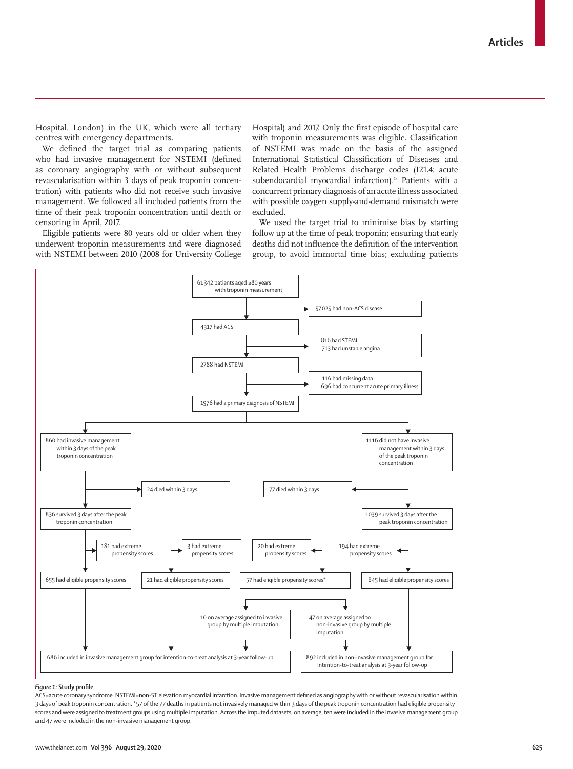Hospital, London) in the UK, which were all tertiary centres with emergency departments.

We defined the target trial as comparing patients who had invasive management for NSTEMI (defined as coronary angiography with or without subsequent revascularisation within 3 days of peak troponin concentration) with patients who did not receive such invasive management. We followed all included patients from the time of their peak troponin concentration until death or censoring in April, 2017.

Eligible patients were 80 years old or older when they underwent troponin measurements and were diagnosed with NSTEMI between 2010 (2008 for University College Hospital) and 2017. Only the first episode of hospital care with troponin measurements was eligible. Classification of NSTEMI was made on the basis of the assigned International Statistical Classification of Diseases and Related Health Problems discharge codes (I21.4; acute subendocardial myocardial infarction).<sup>17</sup> Patients with a concurrent primary diagnosis of an acute illness associated with possible oxygen supply-and-demand mismatch were excluded.

We used the target trial to minimise bias by starting follow up at the time of peak troponin; ensuring that early deaths did not influence the definition of the intervention group, to avoid immortal time bias; excluding patients



## *Figure 1:* **Study profile**

ACS=acute coronary syndrome. NSTEMI=non-ST elevation myocardial infarction. Invasive management defined as angiography with or without revascularisation within 3 days of peak troponin concentration. \*57 of the 77 deaths in patients not invasively managed within 3 days of the peak troponin concentration had eligible propensity scores and were assigned to treatment groups using multiple imputation. Across the imputed datasets, on average, ten were included in the invasive management group and 47 were included in the non-invasive management group.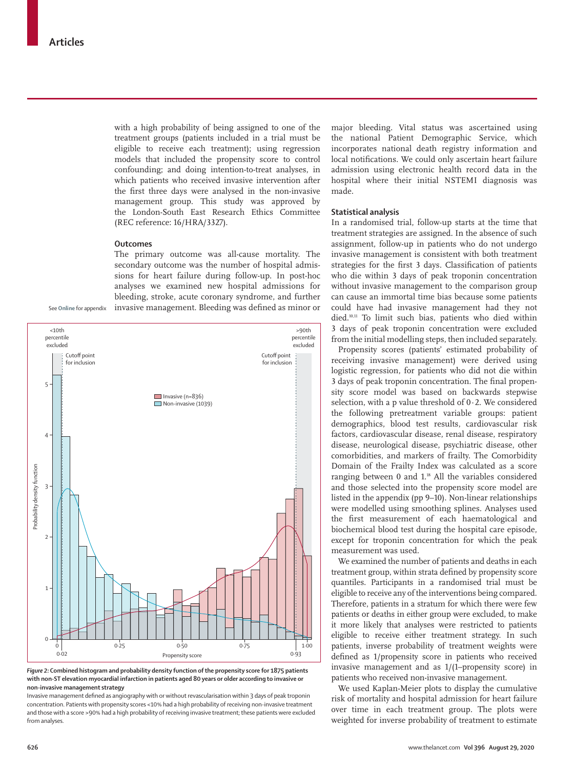with a high probability of being assigned to one of the treatment groups (patients included in a trial must be eligible to receive each treatment); using regression models that included the propensity score to control confounding; and doing intention-to-treat analyses, in which patients who received invasive intervention after the first three days were analysed in the non-invasive management group. This study was approved by the London-South East Research Ethics Committee (REC reference: 16/HRA/3327).

### **Outcomes**

The primary outcome was all-cause mortality. The secondary outcome was the number of hospital admissions for heart failure during follow-up. In post-hoc analyses we examined new hospital admissions for bleeding, stroke, acute coronary syndrome, and further invasive management. Bleeding was defined as minor or

See **Online** for appendix





Invasive management defined as angiography with or without revascularisation within 3 days of peak troponin concentration. Patients with propensity scores <10% had a high probability of receiving non-invasive treatment and those with a score >90% had a high probability of receiving invasive treatment; these patients were excluded from analyses.

major bleeding. Vital status was ascertained using the national Patient Demographic Service, which incorporates national death registry information and local notifications. We could only ascertain heart failure admission using electronic health record data in the hospital where their initial NSTEMI diagnosis was made.

### **Statistical analysis**

In a randomised trial, follow-up starts at the time that treatment strategies are assigned. In the absence of such assignment, follow-up in patients who do not undergo invasive management is consistent with both treatment strategies for the first 3 days. Classification of patients who die within 3 days of peak troponin concentration without invasive management to the comparison group can cause an immortal time bias because some patients could have had invasive management had they not died.10,11 To limit such bias, patients who died within 3 days of peak troponin concentration were excluded from the initial modelling steps, then included separately.

Propensity scores (patients' estimated probability of receiving invasive management) were derived using logistic regression, for patients who did not die within 3 days of peak troponin concentration. The final propensity score model was based on backwards stepwise selection, with a p value threshold of 0·2. We considered the following pretreatment variable groups: patient demographics, blood test results, cardiovascular risk factors, cardiovascular disease, renal disease, respiratory disease, neurological disease, psychiatric disease, other comorbidities, and markers of frailty. The Comorbidity Domain of the Frailty Index was calculated as a score ranging between 0 and 1.<sup>18</sup> All the variables considered and those selected into the propensity score model are listed in the appendix (pp 9–10). Non-linear relationships were modelled using smoothing splines. Analyses used the first measurement of each haematological and biochemical blood test during the hospital care episode, except for troponin concentration for which the peak measurement was used.

We examined the number of patients and deaths in each treatment group, within strata defined by propensity score quantiles. Participants in a randomised trial must be eligible to receive any of the interventions being compared. Therefore, patients in a stratum for which there were few patients or deaths in either group were excluded, to make it more likely that analyses were restricted to patients eligible to receive either treatment strategy. In such patients, inverse probability of treatment weights were defined as 1/propensity score in patients who received invasive management and as 1/(1–propensity score) in patients who received non-invasive management.

We used Kaplan-Meier plots to display the cumulative risk of mortality and hospital admission for heart failure over time in each treatment group. The plots were weighted for inverse probability of treatment to estimate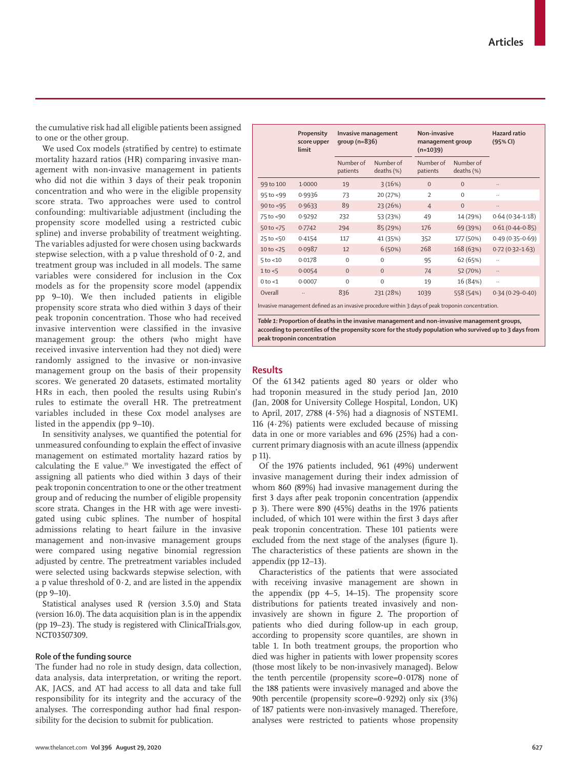the cumulative risk had all eligible patients been assigned to one or the other group.

We used Cox models (stratified by centre) to estimate mortality hazard ratios (HR) comparing invasive management with non-invasive management in patients who did not die within 3 days of their peak troponin concentration and who were in the eligible propensity score strata. Two approaches were used to control confounding: multivariable adjustment (including the propensity score modelled using a restricted cubic spline) and inverse probability of treatment weighting. The variables adjusted for were chosen using backwards stepwise selection, with a p value threshold of  $0.2$ , and treatment group was included in all models. The same variables were considered for inclusion in the Cox models as for the propensity score model (appendix pp 9–10). We then included patients in eligible propensity score strata who died within 3 days of their peak troponin concentration. Those who had received invasive intervention were classified in the invasive management group: the others (who might have received invasive intervention had they not died) were randomly assigned to the invasive or non-invasive management group on the basis of their propensity scores. We generated 20 datasets, estimated mortality HRs in each, then pooled the results using Rubin's rules to estimate the overall HR. The pretreatment variables included in these Cox model analyses are listed in the appendix (pp 9–10).

In sensitivity analyses, we quantified the potential for unmeasured confounding to explain the effect of invasive management on estimated mortality hazard ratios by calculating the E value.19 We investigated the effect of assigning all patients who died within 3 days of their peak troponin concentration to one or the other treatment group and of reducing the number of eligible propensity score strata. Changes in the HR with age were investigated using cubic splines. The number of hospital admissions relating to heart failure in the invasive management and non-invasive management groups were compared using negative binomial regression adjusted by centre. The pretreatment variables included were selected using backwards stepwise selection, with a p value threshold of  $0.2$ , and are listed in the appendix (pp 9–10).

Statistical analyses used R (version 3.5.0) and Stata (version 16.0). The data acquisition plan is in the appendix (pp 19–23). The study is registered with ClinicalTrials.gov, NCT03507309.

# **Role of the funding source**

The funder had no role in study design, data collection, data analysis, data interpretation, or writing the report. AK, JACS, and AT had access to all data and take full responsibility for its integrity and the accuracy of the analyses. The corresponding author had final responsibility for the decision to submit for publication.

|                     | Propensity<br>score upper<br>limit | Non-invasive<br>Invasive management<br>$qroup(n=836)$<br>management group<br>$(n=1039)$ |                                                                                                                 | Hazard ratio<br>(95% CI) |                            |                     |
|---------------------|------------------------------------|-----------------------------------------------------------------------------------------|-----------------------------------------------------------------------------------------------------------------|--------------------------|----------------------------|---------------------|
|                     |                                    | Number of<br>patients                                                                   | Number of<br>deaths $(\%)$                                                                                      | Number of<br>patients    | Number of<br>deaths $(\%)$ |                     |
| 99 to 100           | 1.0000                             | 19                                                                                      | 3(16%)                                                                                                          | $\mathbf{0}$             | $\mathbf{0}$               |                     |
| $95$ to $< 99$      | 0.9936                             | 73                                                                                      | 20 (27%)                                                                                                        | $\overline{2}$           | $\mathbf 0$                | $\ddotsc$           |
| $90 \text{ to } 95$ | 0.9633                             | 89                                                                                      | 23 (26%)                                                                                                        | $\overline{4}$           | $\mathbf{0}$               | $\cdots$            |
| 75 to <90           | 0.9292                             | 232                                                                                     | 53 (23%)                                                                                                        | 49                       | 14 (29%)                   | $0.64(0.34 - 1.18)$ |
| 50 to $< 75$        | 0.7742                             | 294                                                                                     | 85 (29%)                                                                                                        | 176                      | 69 (39%)                   | $0.61(0.44 - 0.85)$ |
| 25 to <50           | 0.4154                             | 117                                                                                     | 41 (35%)                                                                                                        | 352                      | 177 (50%)                  | $0.49(0.35 - 0.69)$ |
| 10 to $<$ 25        | 0.0987                             | 12                                                                                      | 6(50%)                                                                                                          | 268                      | 168 (63%)                  | $0.72(0.32 - 1.63)$ |
| $5$ to $<$ 10       | 0.0178                             | $\mathbf 0$                                                                             | $\mathbf 0$                                                                                                     | 95                       | 62 (65%)                   | $\ddotsc$           |
| $1$ to $<$ 5        | 0.0054                             | $\mathbf{0}$                                                                            | $\mathbf{0}$                                                                                                    | 74                       | 52 (70%)                   | $\ldots$            |
| $0$ to $<$ 1        | 0.0007                             | $\mathbf 0$                                                                             | $\mathbf 0$                                                                                                     | 19                       | 16 (84%)                   | $\ddotsc$           |
| Overall             |                                    | 836                                                                                     | 231 (28%)<br>Invasive management defined as an invasive procedure within 3 days of peak troponin concentration. | 1039                     | 558 (54%)                  | $0.34(0.29 - 0.40)$ |

*Table 1:* **Proportion of deaths in the invasive management and non-invasive management groups, according to percentiles of the propensity score for the study population who survived up to 3 days from peak troponin concentration**

#### **Results**

Of the 61342 patients aged 80 years or older who had troponin measured in the study period Jan, 2010 (Jan, 2008 for University College Hospital, London, UK) to April, 2017, 2788 (4·5%) had a diagnosis of NSTEMI. 116 (4·2%) patients were excluded because of missing data in one or more variables and 696 (25%) had a concurrent primary diagnosis with an acute illness (appendix p 11).

Of the 1976 patients included, 961 (49%) underwent invasive management during their index admission of whom 860 (89%) had invasive management during the first 3 days after peak troponin concentration (appendix p 3). There were 890 (45%) deaths in the 1976 patients included, of which 101 were within the first 3 days after peak troponin concentration. These 101 patients were excluded from the next stage of the analyses (figure 1). The characteristics of these patients are shown in the appendix (pp 12–13).

Characteristics of the patients that were associated with receiving invasive management are shown in the appendix (pp 4–5, 14–15). The propensity score distributions for patients treated invasively and noninvasively are shown in figure 2**.** The proportion of patients who died during follow-up in each group, according to propensity score quantiles, are shown in table 1. In both treatment groups, the proportion who died was higher in patients with lower propensity scores (those most likely to be non-invasively managed). Below the tenth percentile (propensity score=0·0178) none of the 188 patients were invasively managed and above the 90th percentile (propensity score=0·9292) only six (3%) of 187 patients were non-invasively managed. Therefore, analyses were restricted to patients whose propensity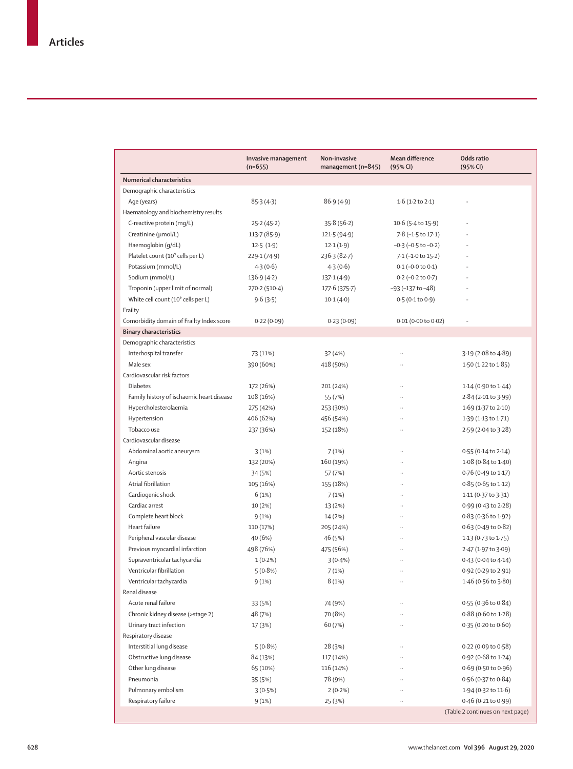|                                           | Invasive management<br>$(n=655)$ | Non-invasive<br>management (n=845) | <b>Mean difference</b><br>(95% CI) | Odds ratio<br>(95% CI)           |
|-------------------------------------------|----------------------------------|------------------------------------|------------------------------------|----------------------------------|
| Numerical characteristics                 |                                  |                                    |                                    |                                  |
| Demographic characteristics               |                                  |                                    |                                    |                                  |
| Age (years)                               | 85.3(4.3)                        | 86.9(4.9)                          | $1.6$ (1.2 to 2.1)                 |                                  |
| Haematology and biochemistry results      |                                  |                                    |                                    |                                  |
| C-reactive protein (mg/L)                 | 25.2(45.2)                       | 35.8(56.2)                         | $10.6$ (5.4 to $15.9$ )            |                                  |
| Creatinine (µmol/L)                       | 113.7(85.9)                      | 121.5(94.9)                        | $7.8$ (-1.5 to 17.1)               |                                  |
| Haemoglobin (g/dL)                        | 12.5(1.9)                        | 12.1(1.9)                          | $-0.3$ ( $-0.5$ to $-0.2$ )        |                                  |
| Platelet count (10° cells per L)          | 229.1 (74.9)                     | 236.3(82.7)                        | $7.1(-1.0 to 15.2)$                |                                  |
| Potassium (mmol/L)                        | 4.3(0.6)                         | 4.3(0.6)                           | $0.1 (-0.0 to 0.1)$                |                                  |
| Sodium (mmol/L)                           | 136.9(4.2)                       | 137.1(4.9)                         | $0.2$ (-0.2 to 0.7)                |                                  |
| Troponin (upper limit of normal)          | 270.2 (510.4)                    | 177.6(375.7)                       | -93 (-137 to -48)                  |                                  |
| White cell count (10° cells per L)        | 9.6(3.5)                         | 10.1(4.0)                          | 0.5(0.1 to 0.9)                    |                                  |
| Frailty                                   |                                  |                                    |                                    |                                  |
| Comorbidity domain of Frailty Index score | 0.22(0.09)                       | 0.23(0.09)                         | 0.01(0.00 to 0.02)                 | $\ddot{\phantom{0}}$             |
| <b>Binary characteristics</b>             |                                  |                                    |                                    |                                  |
| Demographic characteristics               |                                  |                                    |                                    |                                  |
| Interhospital transfer                    | 73 (11%)                         | 32 (4%)                            |                                    | 3.19 (2.08 to 4.89)              |
| Male sex                                  | 390 (60%)                        | 418 (50%)                          |                                    | 1.50 (1.22 to 1.85)              |
| Cardiovascular risk factors               |                                  |                                    |                                    |                                  |
| <b>Diabetes</b>                           | 172 (26%)                        | 201 (24%)                          |                                    | 1.14 (0.90 to 1.44)              |
| Family history of ischaemic heart disease | 108 (16%)                        | 55 (7%)                            | $\ddot{\phantom{a}}$               | 2.84 (2.01 to 3.99)              |
| Hypercholesterolaemia                     | 275 (42%)                        | 253 (30%)                          |                                    | 1.69 (1.37 to 2.10)              |
| Hypertension                              | 406 (62%)                        | 456 (54%)                          | $\ddot{\phantom{a}}$               | 1.39 (1.13 to 1.71)              |
| Tobacco use                               | 237 (36%)                        | 152 (18%)                          |                                    | 2.59 (2.04 to 3.28)              |
| Cardiovascular disease                    |                                  |                                    |                                    |                                  |
| Abdominal aortic aneurysm                 | 3(1%)                            | 7(1%)                              |                                    | $0.55(0.14 \text{ to } 2.14)$    |
| Angina                                    | 132 (20%)                        | 160 (19%)                          |                                    | 1.08 (0.84 to 1.40)              |
| Aortic stenosis                           | 34 (5%)                          | 57 (7%)                            |                                    | $0.76$ (0.49 to 1.17)            |
| Atrial fibrillation                       | 105 (16%)                        | 155 (18%)                          | $\ddot{\phantom{a}}$               | $0.85(0.65 \text{ to } 1.12)$    |
| Cardiogenic shock                         | 6(1%)                            | 7(1%)                              | $\ddot{\phantom{a}}$               | 1.11 (0.37 to 3.31)              |
| Cardiac arrest                            | 10(2%)                           | 13 (2%)                            | $\ddotsc$                          | 0.99 (0.43 to 2.28)              |
| Complete heart block                      | 9(1%)                            | 14 (2%)                            |                                    | $0.83(0.36 \text{ to } 1.92)$    |
| Heart failure                             | 110 (17%)                        | 205 (24%)                          |                                    | 0.63 (0.49 to 0.82)              |
| Peripheral vascular disease               | 40 (6%)                          | 46 (5%)                            |                                    | 1.13 (0.73 to 1.75)              |
| Previous myocardial infarction            | 498 (76%)                        | 475 (56%)                          |                                    | 2.47 (1.97 to 3.09)              |
| Supraventricular tachycardia              | $1(0.2\%)$                       | $3(0.4\%)$                         | $\ddot{\phantom{a}}$               | 0.43 (0.04 to 4.14)              |
| Ventricular fibrillation                  | 5(0.8%)                          | 7(1%)                              |                                    | 0.92 (0.29 to 2.91)              |
| Ventricular tachycardia                   | 9(1%)                            | 8(1%)                              | $\ddotsc$                          | 1.46 (0.56 to 3.80)              |
| Renal disease                             |                                  |                                    |                                    |                                  |
| Acute renal failure                       | 33 (5%)                          | 74 (9%)                            |                                    | 0.55 (0.36 to 0.84)              |
| Chronic kidney disease (>stage 2)         | 48 (7%)                          | 70 (8%)                            |                                    | 0.88 (0.60 to 1.28)              |
| Urinary tract infection                   | 17 (3%)                          | 60 (7%)                            |                                    | 0.35 (0.20 to 0.60)              |
| Respiratory disease                       |                                  |                                    |                                    |                                  |
| Interstitial lung disease                 | 5(0.8%)                          | 28 (3%)                            |                                    | 0.22 (0.09 to 0.58)              |
| Obstructive lung disease                  | 84 (13%)                         | 117 (14%)                          |                                    | 0.92 (0.68 to 1.24)              |
| Other lung disease                        | 65 (10%)                         | 116 (14%)                          |                                    | 0.69 (0.50 to 0.96)              |
| Pneumonia                                 | 35 (5%)                          | 78 (9%)                            |                                    | 0.56 (0.37 to 0.84)              |
| Pulmonary embolism                        | 3(0.5%)                          | $2(0.2\%)$                         |                                    | $1.94(0.32 \text{ to } 11.6)$    |
| Respiratory failure                       | 9(1%)                            | 25 (3%)                            |                                    | 0.46 (0.21 to 0.99)              |
|                                           |                                  |                                    |                                    | (Table 2 continues on next page) |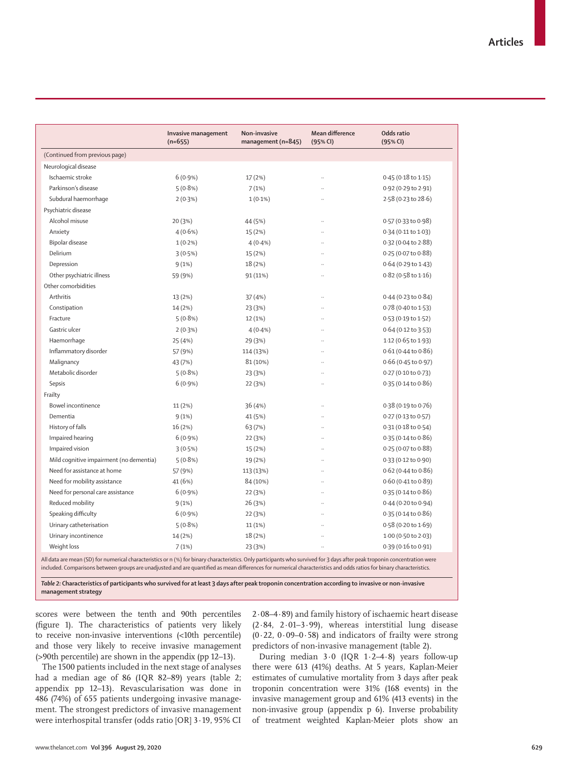|                                         | Invasive management<br>$(n=655)$ | Non-invasive<br>management (n=845) | <b>Mean difference</b><br>(95% CI) | Odds ratio<br>(95% CI)        |
|-----------------------------------------|----------------------------------|------------------------------------|------------------------------------|-------------------------------|
| (Continued from previous page)          |                                  |                                    |                                    |                               |
| Neurological disease                    |                                  |                                    |                                    |                               |
| Ischaemic stroke                        | $6(0.9\%)$                       | 17(2%)                             |                                    | $0.45(0.18 \text{ to } 1.15)$ |
| Parkinson's disease                     | $5(0.8\%)$                       | 7(1%)                              | $\ddotsc$                          | 0.92 (0.29 to 2.91)           |
| Subdural haemorrhage                    | $2(0.3\%)$                       | $1(0.1\%)$                         | $\ddotsc$                          | 2.58 (0.23 to 28.6)           |
| Psychiatric disease                     |                                  |                                    |                                    |                               |
| Alcohol misuse                          | 20 (3%)                          | 44 (5%)                            | $\ddot{\phantom{a}}$               | $0.57(0.33 \text{ to } 0.98)$ |
| Anxiety                                 | $4(0.6\%)$                       | 15 (2%)                            | $\ddotsc$                          | 0.34 (0.11 to 1.03)           |
| Bipolar disease                         | $1(0.2\%)$                       | $4(0.4\%)$                         |                                    | 0.32 (0.04 to 2.88)           |
| Delirium                                | 3(0.5%)                          | 15 (2%)                            |                                    | 0.25 (0.07 to 0.88)           |
| Depression                              | 9(1%)                            | 18 (2%)                            |                                    | 0.64 (0.29 to 1.43)           |
| Other psychiatric illness               | 59 (9%)                          | 91 (11%)                           | $\ddot{\phantom{a}}$               | $0.82$ (0.58 to 1.16)         |
| Other comorbidities                     |                                  |                                    |                                    |                               |
| Arthritis                               | 13 (2%)                          | 37(4%)                             |                                    | 0.44 (0.23 to 0.84)           |
| Constipation                            | 14(2%)                           | 23 (3%)                            | $\ddotsc$                          | $0.78$ (0.40 to 1.53)         |
| Fracture                                | $5(0.8\%)$                       | 12 (1%)                            | $\sim$                             | 0.53 (0.19 to 1.52)           |
| Gastric ulcer                           | $2(0.3\%)$                       | $4(0.4\%)$                         | $\ddot{\phantom{a}}$               | $0.64$ (0.12 to 3.53)         |
| Haemorrhage                             | 25 (4%)                          | 29 (3%)                            | $\ddot{\phantom{a}}$               | 1.12 (0.65 to 1.93)           |
| Inflammatory disorder                   | 57 (9%)                          | 114 (13%)                          | $\ddotsc$                          | 0.61 (0.44 to 0.86)           |
| Malignancy                              | 43 (7%)                          | 81 (10%)                           | $\ddot{\phantom{a}}$               | $0.66$ (0.45 to 0.97)         |
| Metabolic disorder                      | $5(0.8\%)$                       | 23 (3%)                            | $\ddotsc$                          | 0.27 (0.10 to 0.73)           |
| Sepsis                                  | $6(0.9\%)$                       | 22 (3%)                            | ä,                                 | $0.35(0.14 \text{ to } 0.86)$ |
| Frailty                                 |                                  |                                    |                                    |                               |
| Bowel incontinence                      | 11 (2%)                          | 36 (4%)                            | $\ddot{\phantom{a}}$               | $0.38(0.19 \text{ to } 0.76)$ |
| Dementia                                | 9(1%)                            | 41 (5%)                            | $\ddotsc$                          | 0.27 (0.13 to 0.57)           |
| History of falls                        | 16(2%)                           | 63 (7%)                            | $\ddotsc$                          | 0.31(0.18 to 0.54)            |
| Impaired hearing                        | $6(0.9\%)$                       | 22 (3%)                            | $\ddot{\phantom{a}}$               | $0.35(0.14 \text{ to } 0.86)$ |
| Impaired vision                         | 3(0.5%)                          | 15 (2%)                            | $\ddot{\phantom{a}}$               | 0.25 (0.07 to 0.88)           |
| Mild cognitive impairment (no dementia) | 5(0.8%)                          | 19 (2%)                            | $\sim$                             | $0.33(0.12 \text{ to } 0.90)$ |
| Need for assistance at home             | 57 (9%)                          | 113 (13%)                          | ÷.                                 | $0.62$ (0.44 to 0.86)         |
| Need for mobility assistance            | 41 (6%)                          | 84 (10%)                           | ÷.                                 | $0.60$ (0.41 to $0.89$ )      |
| Need for personal care assistance       | $6(0.9\%)$                       | 22 (3%)                            | $\ddot{\phantom{a}}$               | $0.35(0.14 \text{ to } 0.86)$ |
| Reduced mobility                        | 9(1%)                            | 26 (3%)                            |                                    | 0.44 (0.20 to 0.94)           |
| Speaking difficulty                     | $6(0.9\%)$                       | 22 (3%)                            |                                    | $0.35(0.14 \text{ to } 0.86)$ |
| Urinary catheterisation                 | 5(0.8%)                          | 11 (1%)                            |                                    | 0.58 (0.20 to 1.69)           |
| Urinary incontinence                    | 14 (2%)                          | 18 (2%)                            |                                    | 1.00 (0.50 to 2.03)           |
| Weight loss                             | 7(1%)                            | 23 (3%)                            |                                    | 0.39 (0.16 to 0.91)           |

*Table 2:* **Characteristics of participants who survived for at least 3 days after peak troponin concentration according to invasive or non-invasive management strategy**

scores were between the tenth and 90th percentiles (figure 1). The characteristics of patients very likely to receive non-invasive interventions (<10th percentile) and those very likely to receive invasive management (>90th percentile) are shown in the appendix (pp 12–13).

The 1500 patients included in the next stage of analyses had a median age of 86 (IQR 82–89) years (table 2; appendix pp 12–13). Revascularisation was done in 486 (74%) of 655 patients undergoing invasive management. The strongest predictors of invasive management were interhospital transfer (odds ratio [OR] 3·19, 95% CI 2·08–4·89) and family history of ischaemic heart disease (2·84, 2·01–3·99), whereas interstitial lung disease  $(0.22, 0.09 - 0.58)$  and indicators of frailty were strong predictors of non-invasive management (table 2).

During median 3·0 (IQR 1·2–4·8) years follow-up there were 613 (41%) deaths. At 5 years, Kaplan-Meier estimates of cumulative mortality from 3 days after peak troponin concentration were 31% (168 events) in the invasive management group and 61% (413 events) in the non-invasive group (appendix p 6). Inverse probability of treatment weighted Kaplan-Meier plots show an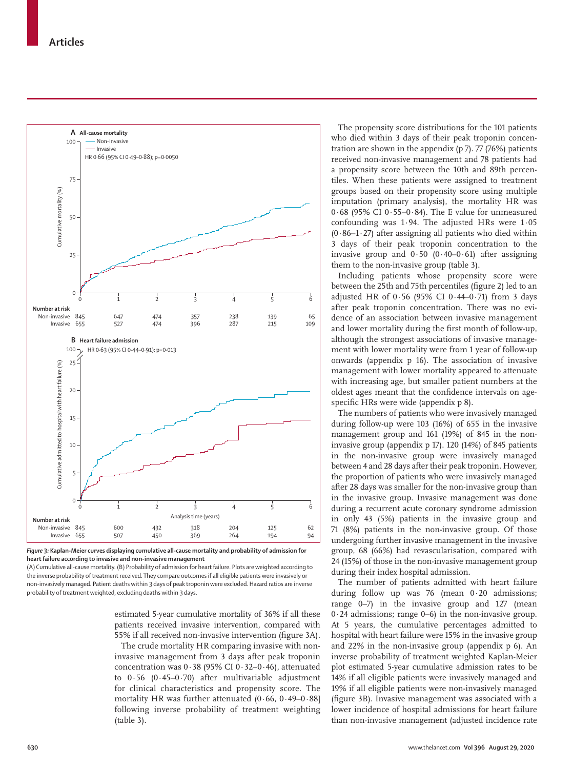

*Figure 3:* **Kaplan-Meier curves displaying cumulative all-cause mortality and probability of admission for heart failure according to invasive and non-invasive management**

(A) Cumulative all-cause mortality. (B) Probability of admission for heart failure. Plots are weighted according to the inverse probability of treatment received. They compare outcomes if all eligible patients were invasively or non-invasively managed. Patient deaths within 3 days of peak troponin were excluded. Hazard ratios are inverse probability of treatment weighted, excluding deaths within 3 days.

> estimated 5-year cumulative mortality of 36% if all these patients received invasive intervention, compared with 55% if all received non-invasive intervention (figure 3A).

> The crude mortality HR comparing invasive with noninvasive management from 3 days after peak troponin concentration was  $0.38$  (95% CI  $0.32-0.46$ ), attenuated to 0·56 (0·45–0·70) after multivariable adjustment for clinical characteristics and propensity score. The mortality HR was further attenuated (0·66, 0·49–0·88] following inverse probability of treatment weighting (table 3).

The propensity score distributions for the 101 patients who died within 3 days of their peak troponin concentration are shown in the appendix (p 7). 77 (76%) patients received non-invasive management and 78 patients had a propensity score between the 10th and 89th percentiles. When these patients were assigned to treatment groups based on their propensity score using multiple imputation (primary analysis), the mortality HR was 0·68 (95% CI 0·55–0·84). The E value for unmeasured confounding was 1·94. The adjusted HRs were 1·05  $(0.86-1.27)$  after assigning all patients who died within 3 days of their peak troponin concentration to the invasive group and  $0.50$  ( $0.40-0.61$ ) after assigning them to the non-invasive group (table 3).

Including patients whose propensity score were between the 25th and 75th percentiles (figure 2) led to an adjusted HR of 0·56 (95% CI 0·44–0·71) from 3 days after peak troponin concentration. There was no evidence of an association between invasive management and lower mortality during the first month of follow-up, although the strongest associations of invasive management with lower mortality were from 1 year of follow-up onwards (appendix p 16). The association of invasive management with lower mortality appeared to attenuate with increasing age, but smaller patient numbers at the oldest ages meant that the confidence intervals on agespecific HRs were wide (appendix p 8).

The numbers of patients who were invasively managed during follow-up were 103 (16%) of 655 in the invasive management group and 161 (19%) of 845 in the noninvasive group (appendix p 17). 120 (14%) of 845 patients in the non-invasive group were invasively managed between 4 and 28 days after their peak troponin. However, the proportion of patients who were invasively managed after 28 days was smaller for the non-invasive group than in the invasive group. Invasive management was done during a recurrent acute coronary syndrome admission in only 43 (5%) patients in the invasive group and 71 (8%) patients in the non-invasive group. Of those undergoing further invasive management in the invasive group, 68 (66%) had revascularisation, compared with 24 (15%) of those in the non-invasive management group during their index hospital admission.

The number of patients admitted with heart failure during follow up was 76 (mean 0·20 admissions; range 0–7) in the invasive group and 127 (mean 0·24 admissions; range 0–6) in the non-invasive group. At 5 years, the cumulative percentages admitted to hospital with heart failure were 15% in the invasive group and 22% in the non-invasive group (appendix p 6). An inverse probability of treatment weighted Kaplan-Meier plot estimated 5-year cumulative admission rates to be 14% if all eligible patients were invasively managed and 19% if all eligible patients were non-invasively managed (figure 3B). Invasive management was associated with a lower incidence of hospital admissions for heart failure than non-invasive management (adjusted incidence rate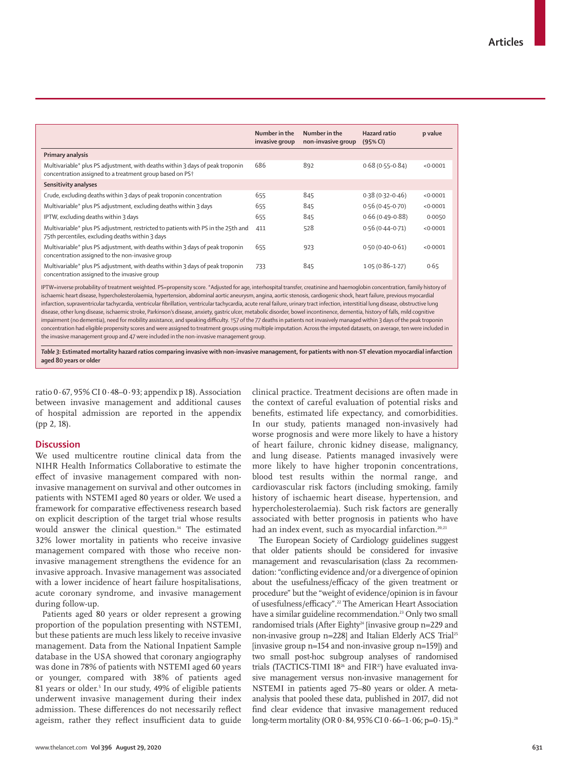|                                                                                                                                                                                                                                                                                                                  | Number in the<br>invasive group | Number in the<br>non-invasive group | <b>Hazard</b> ratio<br>(95% CI) | p value  |  |  |
|------------------------------------------------------------------------------------------------------------------------------------------------------------------------------------------------------------------------------------------------------------------------------------------------------------------|---------------------------------|-------------------------------------|---------------------------------|----------|--|--|
| Primary analysis                                                                                                                                                                                                                                                                                                 |                                 |                                     |                                 |          |  |  |
| Multivariable* plus PS adjustment, with deaths within 3 days of peak troponin<br>concentration assigned to a treatment group based on PS+                                                                                                                                                                        | 686                             | 892                                 | $0.68(0.55 - 0.84)$             | < 0.0001 |  |  |
| Sensitivity analyses                                                                                                                                                                                                                                                                                             |                                 |                                     |                                 |          |  |  |
| Crude, excluding deaths within 3 days of peak troponin concentration                                                                                                                                                                                                                                             | 655                             | 845                                 | $0.38(0.32 - 0.46)$             | < 0.0001 |  |  |
| Multivariable* plus PS adjustment, excluding deaths within 3 days                                                                                                                                                                                                                                                | 655                             | 845                                 | $0.56(0.45 - 0.70)$             | < 0.0001 |  |  |
| IPTW, excluding deaths within 3 days                                                                                                                                                                                                                                                                             | 655                             | 845                                 | $0.66(0.49 - 0.88)$             | 0.0050   |  |  |
| Multivariable* plus PS adjustment, restricted to patients with PS in the 25th and<br>75th percentiles, excluding deaths within 3 days                                                                                                                                                                            | 411                             | 528                                 | $0.56(0.44 - 0.71)$             | < 0.0001 |  |  |
| Multivariable* plus PS adjustment, with deaths within 3 days of peak troponin<br>concentration assigned to the non-invasive group                                                                                                                                                                                | 655                             | 923                                 | $0.50(0.40 - 0.61)$             | < 0.0001 |  |  |
| Multivariable* plus PS adjustment, with deaths within 3 days of peak troponin<br>concentration assigned to the invasive group                                                                                                                                                                                    | 733                             | 845                                 | $1.05(0.86 - 1.27)$             | 0.65     |  |  |
| IPTW=inverse probability of treatment weighted. PS=propensity score. *Adjusted for age, interhospital transfer, creatinine and haemoglobin concentration, family history of<br>triberati bera direce harakelekselenin haraketen ebdeamel eraiteren eraite eraitekorri eraiteretak bera £15.50 metrematen eraitel |                                 |                                     |                                 |          |  |  |

nic heart disease, hypercholesterolaemia, hypertension, abdominal aortic aneurysm, angina, aortic stenosis, cardiogenic shock, heart failure, previous myocar infarction, supraventricular tachycardia, ventricular fibrillation, ventricular tachycardia, acute renal failure, urinary tract infection, interstitial lung disease, obstructive lung disease, other lung disease, ischaemic stroke, Parkinson's disease, anxiety, gastric ulcer, metabolic disorder, bowel incontinence, dementia, history of falls, mild cognitive impairment (no dementia), need for mobility assistance, and speaking difficulty. †57 of the 77 deaths in patients not invasively managed within 3 days of the peak troponin concentration had eligible propensity scores and were assigned to treatment groups using multiple imputation. Across the imputed datasets, on average, ten were included in the invasive management group and 47 were included in the non-invasive management group.

*Table 3:* **Estimated mortality hazard ratios comparing invasive with non-invasive management, for patients with non-ST elevation myocardial infarction aged 80 years or older**

ratio  $0.67$ , 95% CI  $0.48 - 0.93$ ; appendix p 18). Association between invasive management and additional causes of hospital admission are reported in the appendix (pp 2, 18).

# **Discussion**

We used multicentre routine clinical data from the NIHR Health Informatics Collaborative to estimate the effect of invasive management compared with noninvasive management on survival and other outcomes in patients with NSTEMI aged 80 years or older. We used a framework for comparative effectiveness research based on explicit description of the target trial whose results would answer the clinical question.<sup>14</sup> The estimated 32% lower mortality in patients who receive invasive management compared with those who receive noninvasive management strengthens the evidence for an invasive approach. Invasive management was associated with a lower incidence of heart failure hospitalisations, acute coronary syndrome, and invasive management during follow-up.

Patients aged 80 years or older represent a growing proportion of the population presenting with NSTEMI, but these patients are much less likely to receive invasive management. Data from the National Inpatient Sample database in the USA showed that coronary angiography was done in 78% of patients with NSTEMI aged 60 years or younger, compared with 38% of patients aged 81 years or older.<sup>5</sup> In our study, 49% of eligible patients underwent invasive management during their index admission. These differences do not necessarily reflect ageism, rather they reflect insufficient data to guide

clinical practice. Treatment decisions are often made in the context of careful evaluation of potential risks and benefits, estimated life expectancy, and comorbidities. In our study, patients managed non-invasively had worse prognosis and were more likely to have a history of heart failure, chronic kidney disease, malignancy, and lung disease. Patients managed invasively were more likely to have higher troponin concentrations, blood test results within the normal range, and cardiovascular risk factors (including smoking, family history of ischaemic heart disease, hypertension, and hypercholesterolaemia). Such risk factors are generally associated with better prognosis in patients who have had an index event, such as myocardial infarction.<sup>20,21</sup>

The European Society of Cardiology guidelines suggest that older patients should be considered for invasive management and revascularisation (class 2a recommendation: "conflicting evidence and/or a divergence of opinion about the usefulness/efficacy of the given treatment or procedure" but the "weight of evidence/opinion is in favour of usesfulness/efficacy".22 The American Heart Association have a similar guideline recommendation.<sup>23</sup> Only two small randomised trials (After Eighty<sup>24</sup> [invasive group n=229 and non-invasive group n=228] and Italian Elderly ACS Trial25 [invasive group  $n=154$  and non-invasive group  $n=159$ ]) and two small post-hoc subgroup analyses of randomised trials (TACTICS-TIMI 18<sup>26</sup> and FIR<sup>27</sup>) have evaluated invasive management versus non-invasive management for NSTEMI in patients aged 75–80 years or older. A metaanalysis that pooled these data, published in 2017, did not find clear evidence that invasive management reduced long-term mortality (OR  $0.84$ , 95% CI  $0.66-1.06$ ; p=0.15).<sup>28</sup>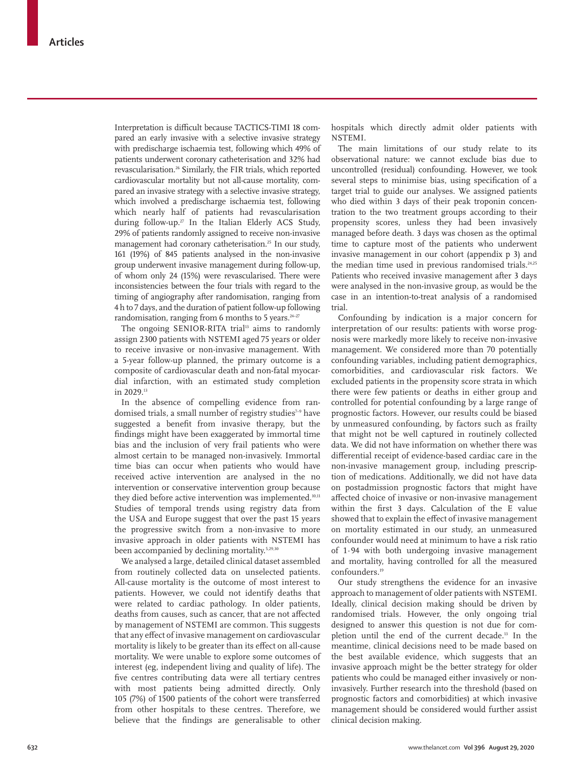Interpretation is difficult because TACTICS-TIMI 18 compared an early invasive with a selective invasive strategy with predischarge ischaemia test, following which 49% of patients underwent coronary catheterisation and 32% had revascularisation.<sup>26</sup> Similarly, the FIR trials, which reported cardiovascular mortality but not all-cause mortality, compared an invasive strategy with a selective invasive strategy, which involved a predischarge ischaemia test, following which nearly half of patients had revascularisation during follow-up.27 In the Italian Elderly ACS Study, 29% of patients randomly assigned to receive non-invasive management had coronary catheterisation.<sup>25</sup> In our study, 161 (19%) of 845 patients analysed in the non-invasive group underwent invasive management during follow-up, of whom only 24 (15%) were revascularised. There were inconsistencies between the four trials with regard to the timing of angiography after randomisation, ranging from 4 h to 7 days, and the duration of patient follow-up following randomisation, ranging from 6 months to 5 years. $24-27$ 

The ongoing SENIOR-RITA trial<sup>13</sup> aims to randomly assign 2300 patients with NSTEMI aged 75 years or older to receive invasive or non-invasive management. With a 5-year follow-up planned, the primary outcome is a composite of cardiovascular death and non-fatal myocardial infarction, with an estimated study completion in 2029.<sup>13</sup>

In the absence of compelling evidence from randomised trials, a small number of registry studies<sup>7-9</sup> have suggested a benefit from invasive therapy, but the findings might have been exaggerated by immortal time bias and the inclusion of very frail patients who were almost certain to be managed non-invasively. Immortal time bias can occur when patients who would have received active intervention are analysed in the no intervention or conservative intervention group because they died before active intervention was implemented.<sup>10,11</sup> Studies of temporal trends using registry data from the USA and Europe suggest that over the past 15 years the progressive switch from a non-invasive to more invasive approach in older patients with NSTEMI has been accompanied by declining mortality.<sup>5,29,30</sup>

We analysed a large, detailed clinical dataset assembled from routinely collected data on unselected patients. All-cause mortality is the outcome of most interest to patients. However, we could not identify deaths that were related to cardiac pathology. In older patients, deaths from causes, such as cancer, that are not affected by management of NSTEMI are common. This suggests that any effect of invasive management on cardiovascular mortality is likely to be greater than its effect on all-cause mortality. We were unable to explore some outcomes of interest (eg, independent living and quality of life). The five centres contributing data were all tertiary centres with most patients being admitted directly. Only 105 (7%) of 1500 patients of the cohort were transferred from other hospitals to these centres. Therefore, we believe that the findings are generalisable to other hospitals which directly admit older patients with **NSTEMI** 

The main limitations of our study relate to its observational nature: we cannot exclude bias due to uncontrolled (residual) confounding. However, we took several steps to minimise bias, using specification of a target trial to guide our analyses. We assigned patients who died within 3 days of their peak troponin concentration to the two treatment groups according to their propensity scores, unless they had been invasively managed before death. 3 days was chosen as the optimal time to capture most of the patients who underwent invasive management in our cohort (appendix p 3) and the median time used in previous randomised trials.<sup>24,25</sup> Patients who received invasive management after 3 days were analysed in the non-invasive group, as would be the case in an intention-to-treat analysis of a randomised trial.

Confounding by indication is a major concern for interpretation of our results: patients with worse prognosis were markedly more likely to receive non-invasive management. We considered more than 70 potentially confounding variables, including patient demographics, comorbidities, and cardiovascular risk factors. We excluded patients in the propensity score strata in which there were few patients or deaths in either group and controlled for potential confounding by a large range of prognostic factors. However, our results could be biased by unmeasured confounding, by factors such as frailty that might not be well captured in routinely collected data. We did not have information on whether there was differential receipt of evidence-based cardiac care in the non-invasive management group, including prescription of medications. Additionally, we did not have data on postadmission prognostic factors that might have affected choice of invasive or non-invasive management within the first 3 days. Calculation of the E value showed that to explain the effect of invasive management on mortality estimated in our study, an unmeasured confounder would need at minimum to have a risk ratio of 1·94 with both undergoing invasive management and mortality, having controlled for all the measured confounders.19

Our study strengthens the evidence for an invasive approach to management of older patients with NSTEMI. Ideally, clinical decision making should be driven by randomised trials. However, the only ongoing trial designed to answer this question is not due for completion until the end of the current decade.13 In the meantime, clinical decisions need to be made based on the best available evidence, which suggests that an invasive approach might be the better strategy for older patients who could be managed either invasively or noninvasively. Further research into the threshold (based on prognostic factors and comorbidities) at which invasive management should be considered would further assist clinical decision making.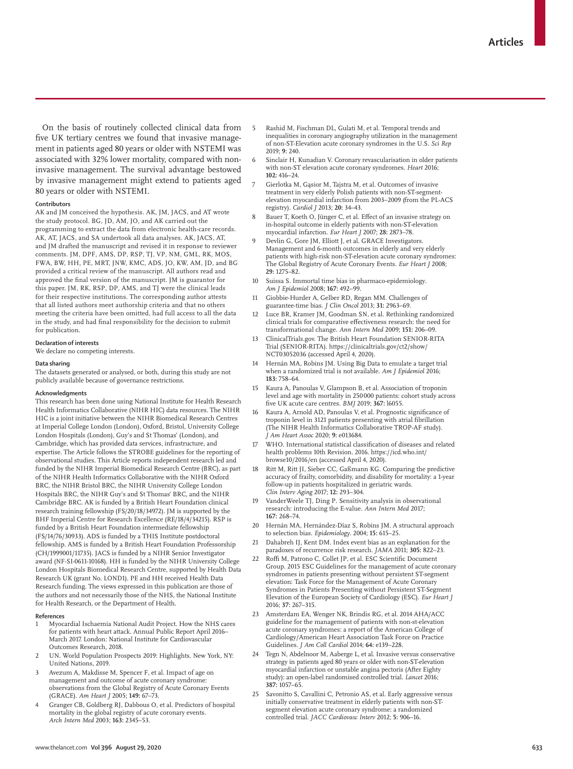On the basis of routinely collected clinical data from five UK tertiary centres we found that invasive management in patients aged 80 years or older with NSTEMI was associated with 32% lower mortality, compared with noninvasive management. The survival advantage bestowed by invasive management might extend to patients aged 80 years or older with NSTEMI.

## **Contributors**

AK and JM conceived the hypothesis. AK, JM, JACS, and AT wrote the study protocol. BG, JD, AM, JO, and AK carried out the programming to extract the data from electronic health-care records. AK, AT, JACS, and SA undertook all data analyses. AK, JACS, AT, and JM drafted the manuscript and revised it in response to reviewer comments. JM, DPF, AMS, DP, RSP, TJ, VP, NM, GML, RK, MOS, FWA, BW, HH, PE, MRT, JNW, KMC, ADS, JO, KW, AM, JD, and BG provided a critical review of the manuscript. All authors read and approved the final version of the manuscript. JM is guarantor for this paper. JM, RK, RSP, DP, AMS, and TJ were the clinical leads for their respective institutions. The corresponding author attests that all listed authors meet authorship criteria and that no others meeting the criteria have been omitted, had full access to all the data in the study, and had final responsibility for the decision to submit for publication.

#### **Declaration of interests**

We declare no competing interests.

#### **Data sharing**

The datasets generated or analysed, or both, during this study are not publicly available because of governance restrictions.

## **Acknowledgments**

This research has been done using National Institute for Health Research Health Informatics Collaborative (NIHR HIC) data resources. The NIHR HIC is a joint initiative between the NIHR Biomedical Research Centres at Imperial College London (London), Oxford, Bristol, University College London Hospitals (London), Guy's and St Thomas' (London), and Cambridge, which has provided data services, infrastructure, and expertise. The Article follows the STROBE guidelines for the reporting of observational studies. This Article reports independent research led and funded by the NIHR Imperial Biomedical Research Centre (BRC), as part of the NIHR Health Informatics Collaborative with the NIHR Oxford BRC, the NIHR Bristol BRC, the NIHR University College London Hospitals BRC, the NIHR Guy's and St Thomas' BRC, and the NIHR Cambridge BRC. AK is funded by a British Heart Foundation clinical research training fellowship (FS/20/18/34972). JM is supported by the BHF Imperial Centre for Research Excellence (RE/18/4/34215). RSP is funded by a British Heart Foundation intermediate fellowship (FS/14/76/30933). ADS is funded by a THIS Institute postdoctoral fellowship. AMS is funded by a British Heart Foundation Professorship (CH/1999001/11735). JACS is funded by a NIHR Senior Investigator award (NF-SI-0611-10168). HH is funded by the NIHR University College London Hospitals Biomedical Research Centre, supported by Health Data Research UK (grant No. LOND1). PE and HH received Health Data Research funding. The views expressed in this publication are those of the authors and not necessarily those of the NHS, the National Institute for Health Research, or the Department of Health.

#### **References**

- 1 Myocardial Ischaemia National Audit Project. How the NHS cares for patients with heart attack. Annual Public Report April 2016– March 2017. London: National Institute for Cardiovascular Outcomes Research, 2018.
- 2 UN. World Population Prospects 2019: Highlights. New York, NY: United Nations, 2019.
- 3 Avezum A, Makdisse M, Spencer F, et al. Impact of age on management and outcome of acute coronary syndrome: observations from the Global Registry of Acute Coronary Events (GRACE). *Am Heart J* 2005; **149:** 67–73.
- 4 Granger CB, Goldberg RJ, Dabbous O, et al. Predictors of hospital mortality in the global registry of acute coronary events. *Arch Intern Med* 2003; **163:** 2345–53.
- Rashid M, Fischman DL, Gulati M, et al. Temporal trends and inequalities in coronary angiography utilization in the management of non-ST-Elevation acute coronary syndromes in the U.S. *Sci Rep* 2019; **9:** 240.
- 6 Sinclair H, Kunadian V. Coronary revascularisation in older patients with non-ST elevation acute coronary syndromes. *Heart* 2016; **102:** 416–24.
- 7 Gierlotka M, Gąsior M, Tajstra M, et al. Outcomes of invasive treatment in very elderly Polish patients with non-ST-segmentelevation myocardial infarction from 2003–2009 (from the PL-ACS registry). *Cardiol J* 2013; **20:** 34–43.
- 8 Bauer T, Koeth O, Jünger C, et al. Effect of an invasive strategy on in-hospital outcome in elderly patients with non-ST-elevation myocardial infarction. *Eur Heart J* 2007; **28:** 2873–78.
- Devlin G, Gore JM, Elliott J, et al. GRACE Investigators. Management and 6-month outcomes in elderly and very elderly patients with high-risk non-ST-elevation acute coronary syndromes: The Global Registry of Acute Coronary Events. *Eur Heart J* 2008; **29:** 1275–82.
- 10 Suissa S. Immortal time bias in pharmaco-epidemiology*. Am J Epidemiol* 2008; **167:** 492–99.
- 11 Giobbie-Hurder A, Gelber RD, Regan MM. Challenges of guarantee-time bias. *J Clin Oncol* 2013; **31:** 2963–69.
- 12 Luce BR, Kramer JM, Goodman SN, et al. Rethinking randomized clinical trials for comparative effectiveness research: the need for transformational change. *Ann Intern Med* 2009; **151:** 206–09.
- 13 ClinicalTrials.gov. The British Heart Foundation SENIOR-RITA Trial (SENIOR-RITA). https://clinicaltrials.gov/ct2/show/ NCT03052036 (accessed April 4, 2020).
- Hernán MA, Robins JM. Using Big Data to emulate a target trial when a randomized trial is not available. *Am J Epidemiol* 2016; **183:** 758–64.
- Kaura A, Panoulas V, Glampson B, et al. Association of troponin level and age with mortality in 250 000 patients: cohort study across five UK acute care centres. *BMJ* 2019; **367:** l6055.
- Kaura A, Arnold AD, Panoulas V, et al. Prognostic significance of troponin level in 3121 patients presenting with atrial fibrillation (The NIHR Health Informatics Collaborative TROP-AF study). *J Am Heart Assoc* 2020; **9:** e013684.
- 17 WHO. International statistical classification of diseases and related health problems 10th Revision. 2016. https://icd.who.int/ browse10/2016/en (accessed April 4, 2020).
- 18 Ritt M, Ritt JI, Sieber CC, Gaßmann KG. Comparing the predictive accuracy of frailty, comorbidity, and disability for mortality: a 1-year follow-up in patients hospitalized in geriatric wards. *Clin Interv Aging* 2017; **12:** 293–304.
- 19 VanderWeele TJ, Ding P. Sensitivity analysis in observational research: introducing the E-value. *Ann Intern Med* 2017; **167:** 268–74.
- 20 Hernán MA, Hernández-Díaz S, Robins JM. A structural approach to selection bias. *Epidemiology*. 2004; **15:** 615–25.
- 21 Dahabreh IJ, Kent DM. Index event bias as an explanation for the paradoxes of recurrence risk research. *JAMA* 2011; **305:** 822–23.
- Roffi M, Patrono C, Collet JP, et al. ESC Scientific Document Group. 2015 ESC Guidelines for the management of acute coronary syndromes in patients presenting without persistent ST-segment elevation: Task Force for the Management of Acute Coronary Syndromes in Patients Presenting without Persistent ST-Segment Elevation of the European Society of Cardiology (ESC). *Eur Heart J* 2016; **37:** 267–315.
- 23 Amsterdam EA, Wenger NK, Brindis RG, et al. 2014 AHA/ACC guideline for the management of patients with non-st-elevation acute coronary syndromes: a report of the American College of Cardiology/American Heart Association Task Force on Practice Guidelines. *J Am Coll Cardiol* 2014; **64:** e139–228.
- 24 Tegn N, Abdelnoor M, Aaberge L, et al. Invasive versus conservative strategy in patients aged 80 years or older with non-ST-elevation myocardial infarction or unstable angina pectoris (After Eighty study): an open-label randomised controlled trial. *Lancet* 2016; **387:** 1057–65.
- 25 Savonitto S, Cavallini C, Petronio AS, et al. Early aggressive versus initially conservative treatment in elderly patients with non-STsegment elevation acute coronary syndrome: a randomized controlled trial. *JACC Cardiovasc Interv* 2012; **5:** 906–16.